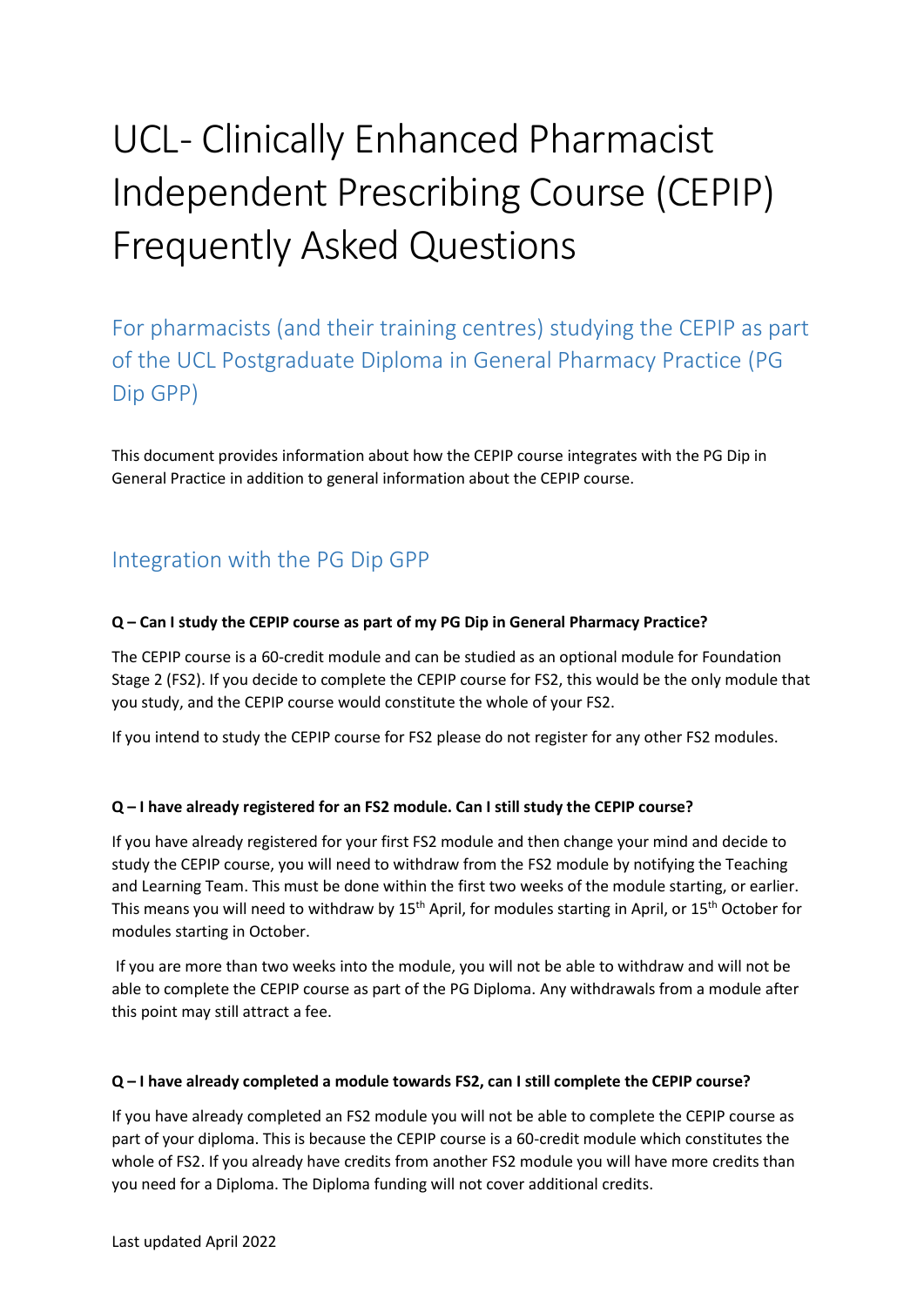# UCL- Clinically Enhanced Pharmacist Independent Prescribing Course (CEPIP) Frequently Asked Questions

For pharmacists (and their training centres) studying the CEPIP as part of the UCL Postgraduate Diploma in General Pharmacy Practice (PG Dip GPP)

This document provides information about how the CEPIP course integrates with the PG Dip in General Practice in addition to general information about the CEPIP course.

# Integration with the PG Dip GPP

#### **Q – Can I study the CEPIP course as part of my PG Dip in General Pharmacy Practice?**

The CEPIP course is a 60-credit module and can be studied as an optional module for Foundation Stage 2 (FS2). If you decide to complete the CEPIP course for FS2, this would be the only module that you study, and the CEPIP course would constitute the whole of your FS2.

If you intend to study the CEPIP course for FS2 please do not register for any other FS2 modules.

#### **Q – I have already registered for an FS2 module. Can I still study the CEPIP course?**

If you have already registered for your first FS2 module and then change your mind and decide to study the CEPIP course, you will need to withdraw from the FS2 module by notifying the Teaching and Learning Team. This must be done within the first two weeks of the module starting, or earlier. This means you will need to withdraw by 15<sup>th</sup> April, for modules starting in April, or 15<sup>th</sup> October for modules starting in October.

If you are more than two weeks into the module, you will not be able to withdraw and will not be able to complete the CEPIP course as part of the PG Diploma. Any withdrawals from a module after this point may still attract a fee.

#### **Q – I have already completed a module towards FS2, can I still complete the CEPIP course?**

If you have already completed an FS2 module you will not be able to complete the CEPIP course as part of your diploma. This is because the CEPIP course is a 60-credit module which constitutes the whole of FS2. If you already have credits from another FS2 module you will have more credits than you need for a Diploma. The Diploma funding will not cover additional credits.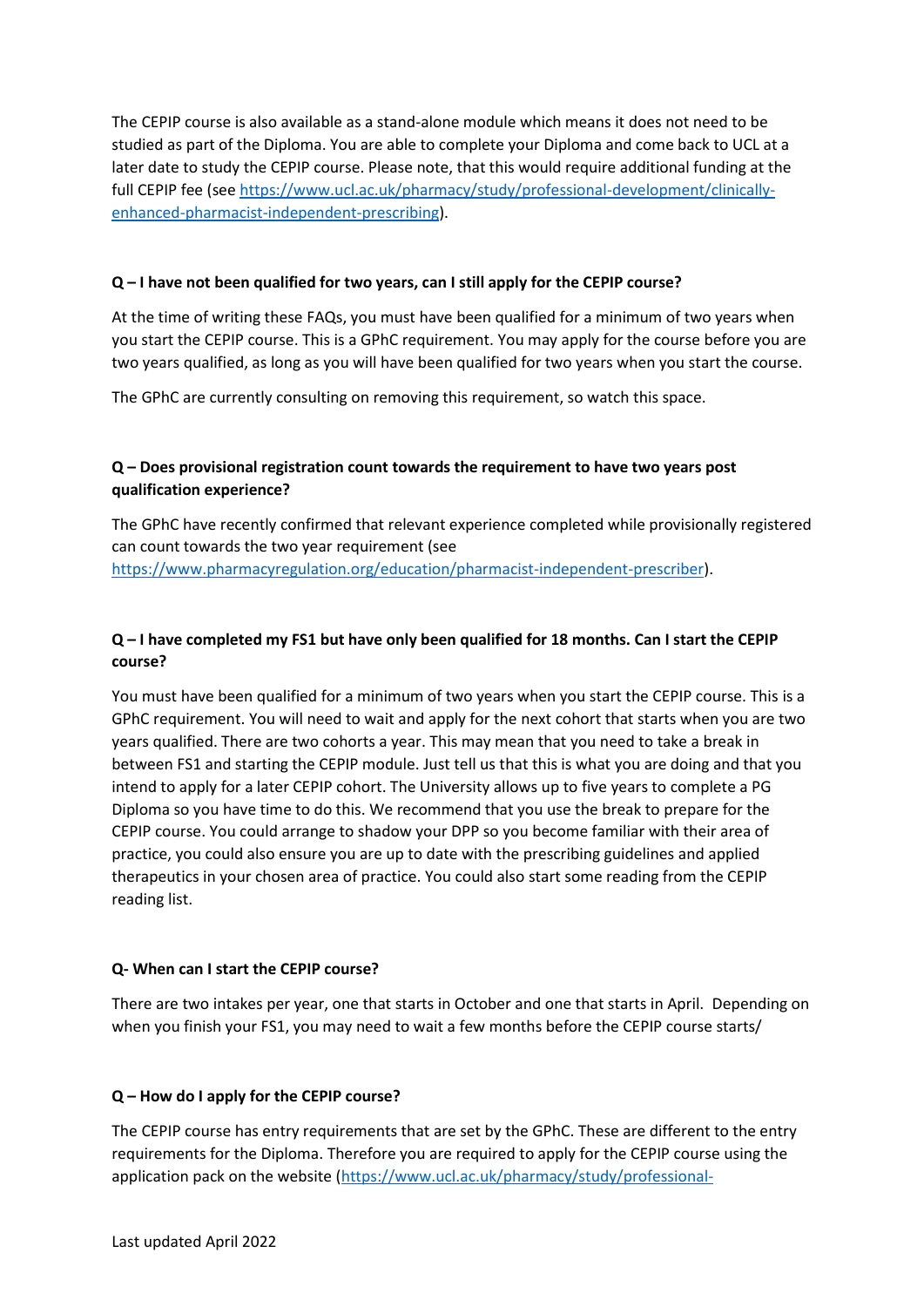The CEPIP course is also available as a stand-alone module which means it does not need to be studied as part of the Diploma. You are able to complete your Diploma and come back to UCL at a later date to study the CEPIP course. Please note, that this would require additional funding at the full CEPIP fee (se[e https://www.ucl.ac.uk/pharmacy/study/professional-development/clinically](https://www.ucl.ac.uk/pharmacy/study/professional-development/clinically-enhanced-pharmacist-independent-prescribing)[enhanced-pharmacist-independent-prescribing\)](https://www.ucl.ac.uk/pharmacy/study/professional-development/clinically-enhanced-pharmacist-independent-prescribing).

#### **Q – I have not been qualified for two years, can I still apply for the CEPIP course?**

At the time of writing these FAQs, you must have been qualified for a minimum of two years when you start the CEPIP course. This is a GPhC requirement. You may apply for the course before you are two years qualified, as long as you will have been qualified for two years when you start the course.

The GPhC are currently consulting on removing this requirement, so watch this space.

#### **Q – Does provisional registration count towards the requirement to have two years post qualification experience?**

The GPhC have recently confirmed that relevant experience completed while provisionally registered can count towards the two year requirement (see [https://www.pharmacyregulation.org/education/pharmacist-independent-prescriber\)](https://www.pharmacyregulation.org/education/pharmacist-independent-prescriber).

#### **Q – I have completed my FS1 but have only been qualified for 18 months. Can I start the CEPIP course?**

You must have been qualified for a minimum of two years when you start the CEPIP course. This is a GPhC requirement. You will need to wait and apply for the next cohort that starts when you are two years qualified. There are two cohorts a year. This may mean that you need to take a break in between FS1 and starting the CEPIP module. Just tell us that this is what you are doing and that you intend to apply for a later CEPIP cohort. The University allows up to five years to complete a PG Diploma so you have time to do this. We recommend that you use the break to prepare for the CEPIP course. You could arrange to shadow your DPP so you become familiar with their area of practice, you could also ensure you are up to date with the prescribing guidelines and applied therapeutics in your chosen area of practice. You could also start some reading from the CEPIP reading list.

#### **Q- When can I start the CEPIP course?**

There are two intakes per year, one that starts in October and one that starts in April. Depending on when you finish your FS1, you may need to wait a few months before the CEPIP course starts/

#### **Q – How do I apply for the CEPIP course?**

The CEPIP course has entry requirements that are set by the GPhC. These are different to the entry requirements for the Diploma. Therefore you are required to apply for the CEPIP course using the application pack on the website [\(https://www.ucl.ac.uk/pharmacy/study/professional-](https://www.ucl.ac.uk/pharmacy/study/professional-development/clinically-enhanced-pharmacist-independent-prescribing)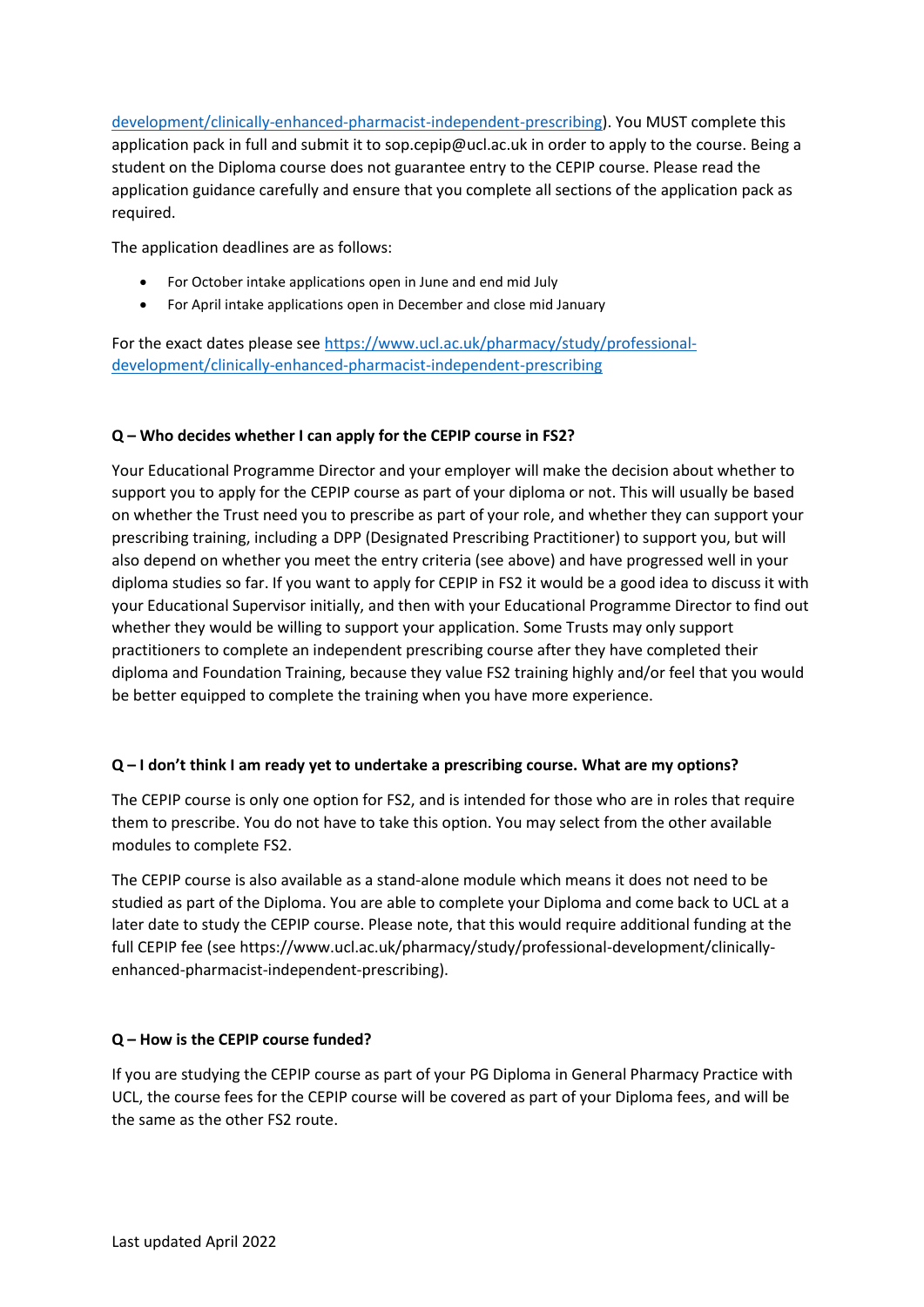[development/clinically-enhanced-pharmacist-independent-prescribing\)](https://www.ucl.ac.uk/pharmacy/study/professional-development/clinically-enhanced-pharmacist-independent-prescribing). You MUST complete this application pack in full and submit it to sop.cepip@ucl.ac.uk in order to apply to the course. Being a student on the Diploma course does not guarantee entry to the CEPIP course. Please read the application guidance carefully and ensure that you complete all sections of the application pack as required.

The application deadlines are as follows:

- For October intake applications open in June and end mid July
- For April intake applications open in December and close mid January

For the exact dates please see [https://www.ucl.ac.uk/pharmacy/study/professional](https://www.ucl.ac.uk/pharmacy/study/professional-development/clinically-enhanced-pharmacist-independent-prescribing)[development/clinically-enhanced-pharmacist-independent-prescribing](https://www.ucl.ac.uk/pharmacy/study/professional-development/clinically-enhanced-pharmacist-independent-prescribing)

#### **Q – Who decides whether I can apply for the CEPIP course in FS2?**

Your Educational Programme Director and your employer will make the decision about whether to support you to apply for the CEPIP course as part of your diploma or not. This will usually be based on whether the Trust need you to prescribe as part of your role, and whether they can support your prescribing training, including a DPP (Designated Prescribing Practitioner) to support you, but will also depend on whether you meet the entry criteria (see above) and have progressed well in your diploma studies so far. If you want to apply for CEPIP in FS2 it would be a good idea to discuss it with your Educational Supervisor initially, and then with your Educational Programme Director to find out whether they would be willing to support your application. Some Trusts may only support practitioners to complete an independent prescribing course after they have completed their diploma and Foundation Training, because they value FS2 training highly and/or feel that you would be better equipped to complete the training when you have more experience.

#### **Q – I don't think I am ready yet to undertake a prescribing course. What are my options?**

The CEPIP course is only one option for FS2, and is intended for those who are in roles that require them to prescribe. You do not have to take this option. You may select from the other available modules to complete FS2.

The CEPIP course is also available as a stand-alone module which means it does not need to be studied as part of the Diploma. You are able to complete your Diploma and come back to UCL at a later date to study the CEPIP course. Please note, that this would require additional funding at the full CEPIP fee (see https://www.ucl.ac.uk/pharmacy/study/professional-development/clinicallyenhanced-pharmacist-independent-prescribing).

#### **Q – How is the CEPIP course funded?**

If you are studying the CEPIP course as part of your PG Diploma in General Pharmacy Practice with UCL, the course fees for the CEPIP course will be covered as part of your Diploma fees, and will be the same as the other FS2 route.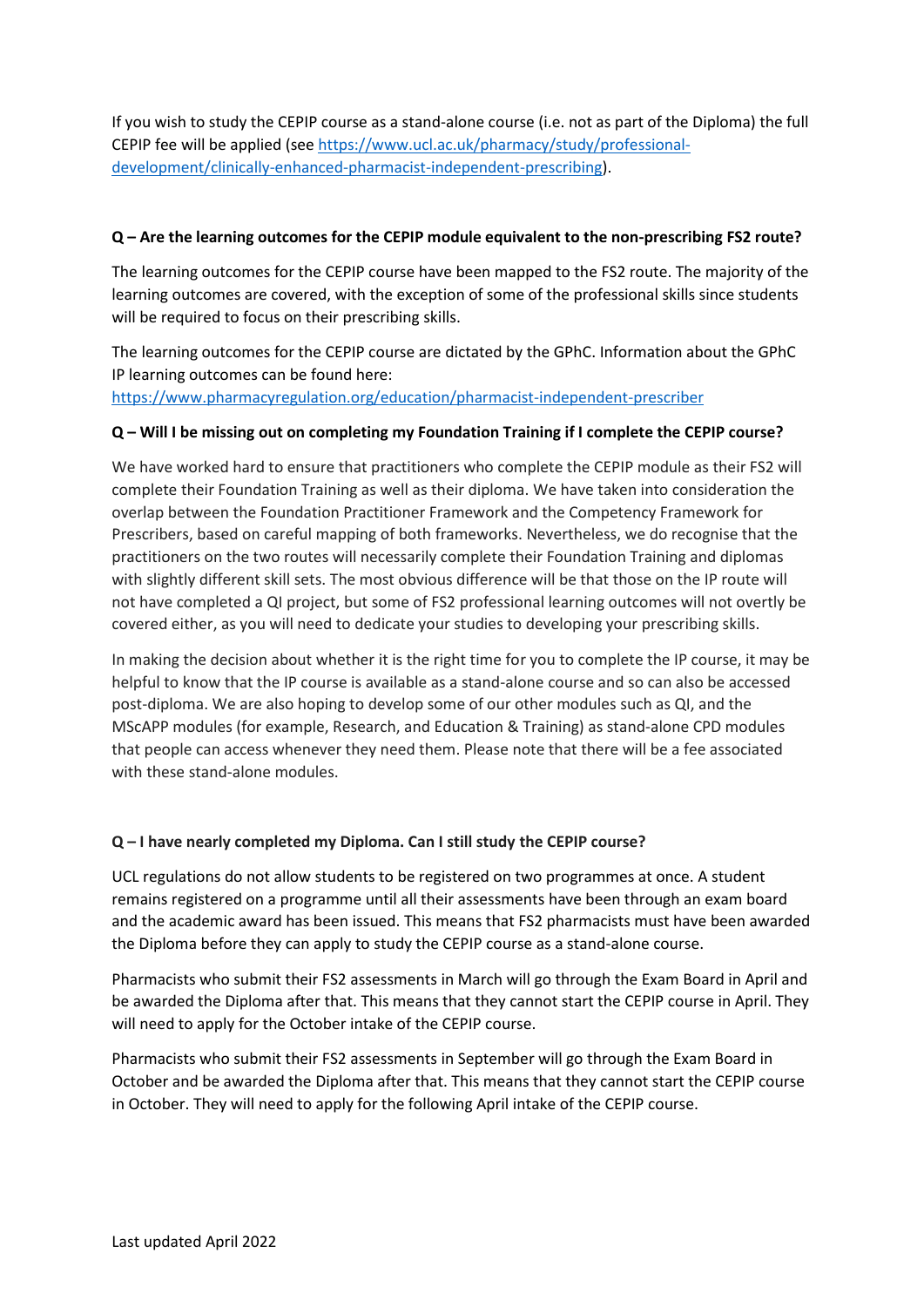If you wish to study the CEPIP course as a stand-alone course (i.e. not as part of the Diploma) the full CEPIP fee will be applied (see [https://www.ucl.ac.uk/pharmacy/study/professional](https://www.ucl.ac.uk/pharmacy/study/professional-development/clinically-enhanced-pharmacist-independent-prescribing)[development/clinically-enhanced-pharmacist-independent-prescribing\)](https://www.ucl.ac.uk/pharmacy/study/professional-development/clinically-enhanced-pharmacist-independent-prescribing).

#### **Q – Are the learning outcomes for the CEPIP module equivalent to the non-prescribing FS2 route?**

The learning outcomes for the CEPIP course have been mapped to the FS2 route. The majority of the learning outcomes are covered, with the exception of some of the professional skills since students will be required to focus on their prescribing skills.

The learning outcomes for the CEPIP course are dictated by the GPhC. Information about the GPhC IP learning outcomes can be found here:

<https://www.pharmacyregulation.org/education/pharmacist-independent-prescriber>

#### **Q – Will I be missing out on completing my Foundation Training if I complete the CEPIP course?**

We have worked hard to ensure that practitioners who complete the CEPIP module as their FS2 will complete their Foundation Training as well as their diploma. We have taken into consideration the overlap between the Foundation Practitioner Framework and the Competency Framework for Prescribers, based on careful mapping of both frameworks. Nevertheless, we do recognise that the practitioners on the two routes will necessarily complete their Foundation Training and diplomas with slightly different skill sets. The most obvious difference will be that those on the IP route will not have completed a QI project, but some of FS2 professional learning outcomes will not overtly be covered either, as you will need to dedicate your studies to developing your prescribing skills.

In making the decision about whether it is the right time for you to complete the IP course, it may be helpful to know that the IP course is available as a stand-alone course and so can also be accessed post-diploma. We are also hoping to develop some of our other modules such as QI, and the MScAPP modules (for example, Research, and Education & Training) as stand-alone CPD modules that people can access whenever they need them. Please note that there will be a fee associated with these stand-alone modules.

#### **Q – I have nearly completed my Diploma. Can I still study the CEPIP course?**

UCL regulations do not allow students to be registered on two programmes at once. A student remains registered on a programme until all their assessments have been through an exam board and the academic award has been issued. This means that FS2 pharmacists must have been awarded the Diploma before they can apply to study the CEPIP course as a stand-alone course.

Pharmacists who submit their FS2 assessments in March will go through the Exam Board in April and be awarded the Diploma after that. This means that they cannot start the CEPIP course in April. They will need to apply for the October intake of the CEPIP course.

Pharmacists who submit their FS2 assessments in September will go through the Exam Board in October and be awarded the Diploma after that. This means that they cannot start the CEPIP course in October. They will need to apply for the following April intake of the CEPIP course.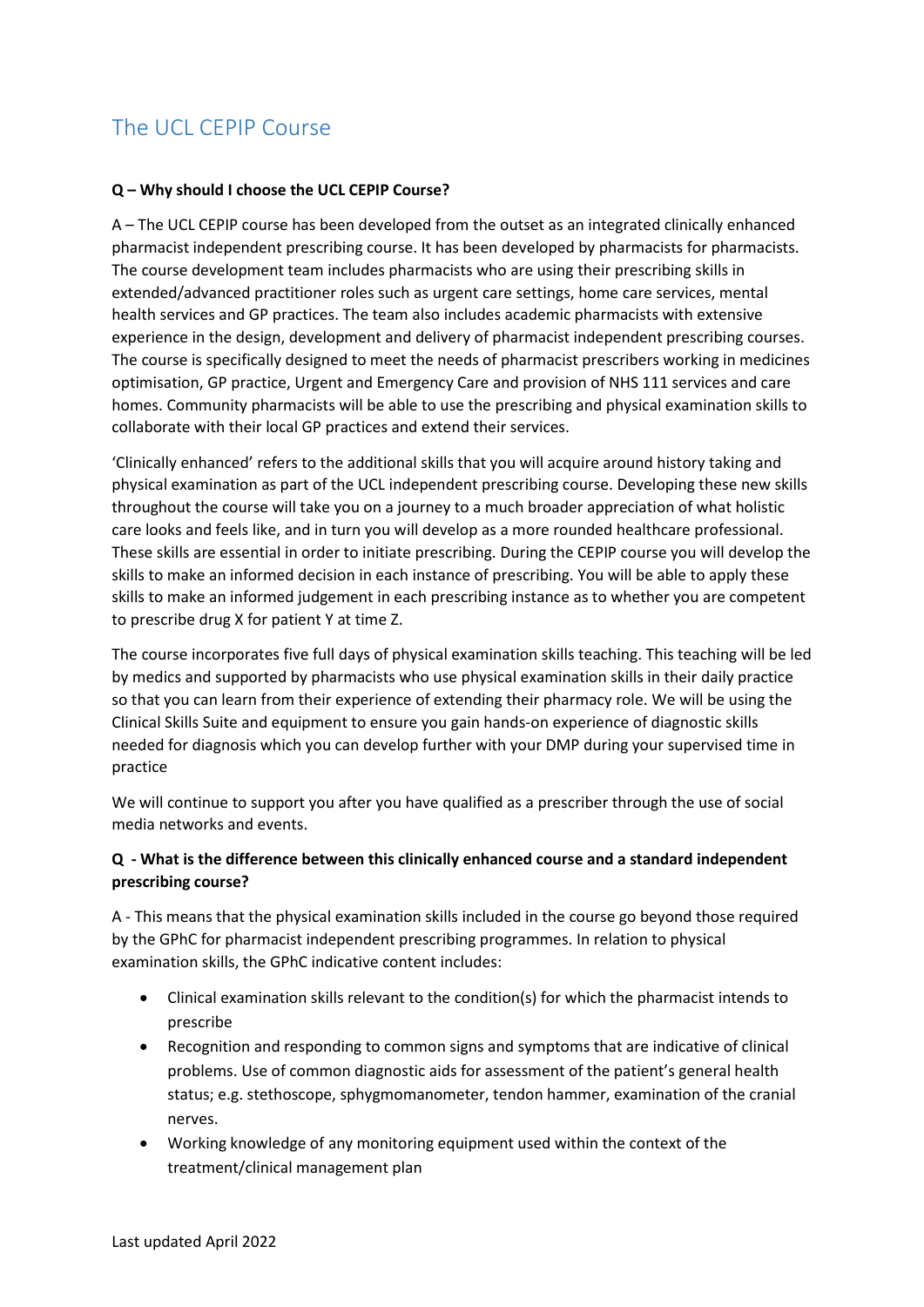# The UCL CEPIP Course

#### **Q – Why should I choose the UCL CEPIP Course?**

A – The UCL CEPIP course has been developed from the outset as an integrated clinically enhanced pharmacist independent prescribing course. It has been developed by pharmacists for pharmacists. The course development team includes pharmacists who are using their prescribing skills in extended/advanced practitioner roles such as urgent care settings, home care services, mental health services and GP practices. The team also includes academic pharmacists with extensive experience in the design, development and delivery of pharmacist independent prescribing courses. The course is specifically designed to meet the needs of pharmacist prescribers working in medicines optimisation, GP practice, Urgent and Emergency Care and provision of NHS 111 services and care homes. Community pharmacists will be able to use the prescribing and physical examination skills to collaborate with their local GP practices and extend their services.

'Clinically enhanced' refers to the additional skills that you will acquire around history taking and physical examination as part of the UCL independent prescribing course. Developing these new skills throughout the course will take you on a journey to a much broader appreciation of what holistic care looks and feels like, and in turn you will develop as a more rounded healthcare professional. These skills are essential in order to initiate prescribing. During the CEPIP course you will develop the skills to make an informed decision in each instance of prescribing. You will be able to apply these skills to make an informed judgement in each prescribing instance as to whether you are competent to prescribe drug X for patient Y at time Z.

The course incorporates five full days of physical examination skills teaching. This teaching will be led by medics and supported by pharmacists who use physical examination skills in their daily practice so that you can learn from their experience of extending their pharmacy role. We will be using the Clinical Skills Suite and equipment to ensure you gain hands-on experience of diagnostic skills needed for diagnosis which you can develop further with your DMP during your supervised time in practice

We will continue to support you after you have qualified as a prescriber through the use of social media networks and events.

#### **Q - What is the difference between this clinically enhanced course and a standard independent prescribing course?**

A - This means that the physical examination skills included in the course go beyond those required by the GPhC for pharmacist independent prescribing programmes. In relation to physical examination skills, the GPhC indicative content includes:

- Clinical examination skills relevant to the condition(s) for which the pharmacist intends to prescribe
- Recognition and responding to common signs and symptoms that are indicative of clinical problems. Use of common diagnostic aids for assessment of the patient's general health status; e.g. stethoscope, sphygmomanometer, tendon hammer, examination of the cranial nerves.
- Working knowledge of any monitoring equipment used within the context of the treatment/clinical management plan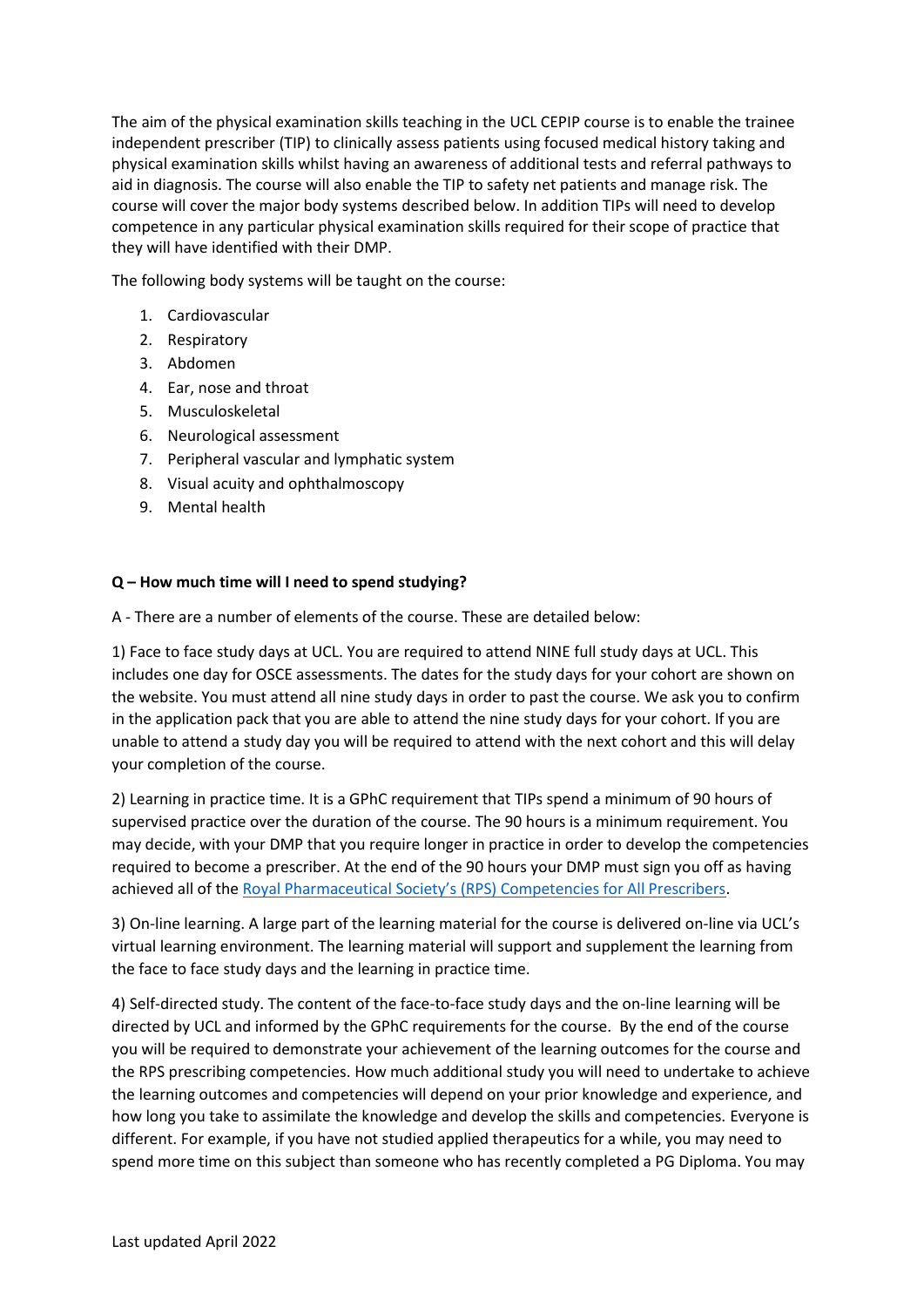The aim of the physical examination skills teaching in the UCL CEPIP course is to enable the trainee independent prescriber (TIP) to clinically assess patients using focused medical history taking and physical examination skills whilst having an awareness of additional tests and referral pathways to aid in diagnosis. The course will also enable the TIP to safety net patients and manage risk. The course will cover the major body systems described below. In addition TIPs will need to develop competence in any particular physical examination skills required for their scope of practice that they will have identified with their DMP.

The following body systems will be taught on the course:

- 1. Cardiovascular
- 2. Respiratory
- 3. Abdomen
- 4. Ear, nose and throat
- 5. Musculoskeletal
- 6. Neurological assessment
- 7. Peripheral vascular and lymphatic system
- 8. Visual acuity and ophthalmoscopy
- 9. Mental health

#### **Q – How much time will I need to spend studying?**

A - There are a number of elements of the course. These are detailed below:

1) Face to face study days at UCL. You are required to attend NINE full study days at UCL. This includes one day for OSCE assessments. The dates for the study days for your cohort are shown on the website. You must attend all nine study days in order to past the course. We ask you to confirm in the application pack that you are able to attend the nine study days for your cohort. If you are unable to attend a study day you will be required to attend with the next cohort and this will delay your completion of the course.

2) Learning in practice time. It is a GPhC requirement that TIPs spend a minimum of 90 hours of supervised practice over the duration of the course. The 90 hours is a minimum requirement. You may decide, with your DMP that you require longer in practice in order to develop the competencies required to become a prescriber. At the end of the 90 hours your DMP must sign you off as having achieved all of the Royal Pharmaceutical Society's (RPS) [Competencies for All Prescribers.](https://www.rpharms.com/resources/frameworks/prescribers-competency-framework)

3) On-line learning. A large part of the learning material for the course is delivered on-line via UCL's virtual learning environment. The learning material will support and supplement the learning from the face to face study days and the learning in practice time.

4) Self-directed study. The content of the face-to-face study days and the on-line learning will be directed by UCL and informed by the GPhC requirements for the course. By the end of the course you will be required to demonstrate your achievement of the learning outcomes for the course and the RPS prescribing competencies. How much additional study you will need to undertake to achieve the learning outcomes and competencies will depend on your prior knowledge and experience, and how long you take to assimilate the knowledge and develop the skills and competencies. Everyone is different. For example, if you have not studied applied therapeutics for a while, you may need to spend more time on this subject than someone who has recently completed a PG Diploma. You may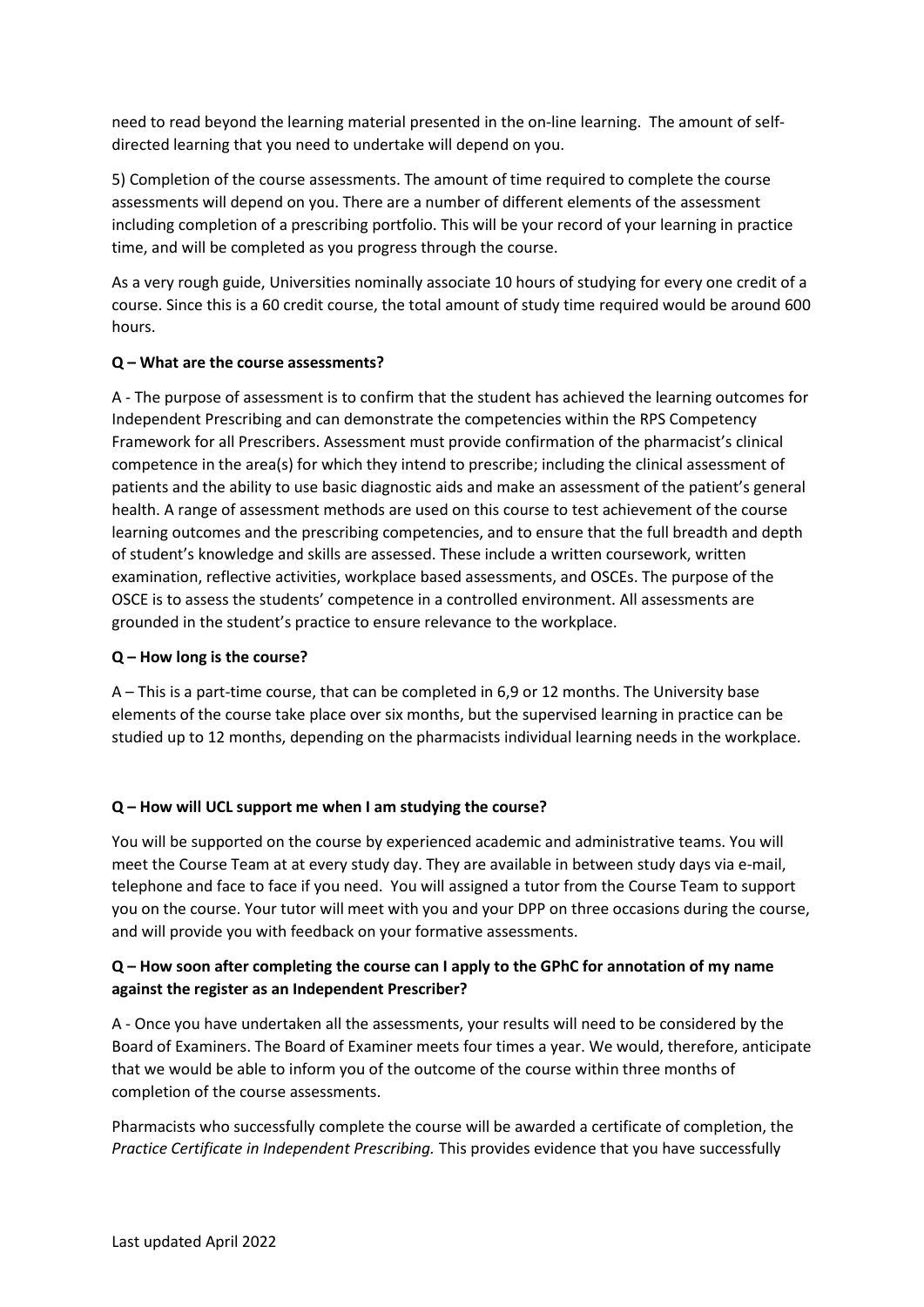need to read beyond the learning material presented in the on-line learning. The amount of selfdirected learning that you need to undertake will depend on you.

5) Completion of the course assessments. The amount of time required to complete the course assessments will depend on you. There are a number of different elements of the assessment including completion of a prescribing portfolio. This will be your record of your learning in practice time, and will be completed as you progress through the course.

As a very rough guide, Universities nominally associate 10 hours of studying for every one credit of a course. Since this is a 60 credit course, the total amount of study time required would be around 600 hours.

#### **Q – What are the course assessments?**

A - The purpose of assessment is to confirm that the student has achieved the learning outcomes for Independent Prescribing and can demonstrate the competencies within the RPS Competency Framework for all Prescribers. Assessment must provide confirmation of the pharmacist's clinical competence in the area(s) for which they intend to prescribe; including the clinical assessment of patients and the ability to use basic diagnostic aids and make an assessment of the patient's general health. A range of assessment methods are used on this course to test achievement of the course learning outcomes and the prescribing competencies, and to ensure that the full breadth and depth of student's knowledge and skills are assessed. These include a written coursework, written examination, reflective activities, workplace based assessments, and OSCEs. The purpose of the OSCE is to assess the students' competence in a controlled environment. All assessments are grounded in the student's practice to ensure relevance to the workplace.

#### **Q – How long is the course?**

A – This is a part-time course, that can be completed in 6,9 or 12 months. The University base elements of the course take place over six months, but the supervised learning in practice can be studied up to 12 months, depending on the pharmacists individual learning needs in the workplace.

#### **Q – How will UCL support me when I am studying the course?**

You will be supported on the course by experienced academic and administrative teams. You will meet the Course Team at at every study day. They are available in between study days via e-mail, telephone and face to face if you need. You will assigned a tutor from the Course Team to support you on the course. Your tutor will meet with you and your DPP on three occasions during the course, and will provide you with feedback on your formative assessments.

#### **Q – How soon after completing the course can I apply to the GPhC for annotation of my name against the register as an Independent Prescriber?**

A - Once you have undertaken all the assessments, your results will need to be considered by the Board of Examiners. The Board of Examiner meets four times a year. We would, therefore, anticipate that we would be able to inform you of the outcome of the course within three months of completion of the course assessments.

Pharmacists who successfully complete the course will be awarded a certificate of completion, the *Practice Certificate in Independent Prescribing.* This provides evidence that you have successfully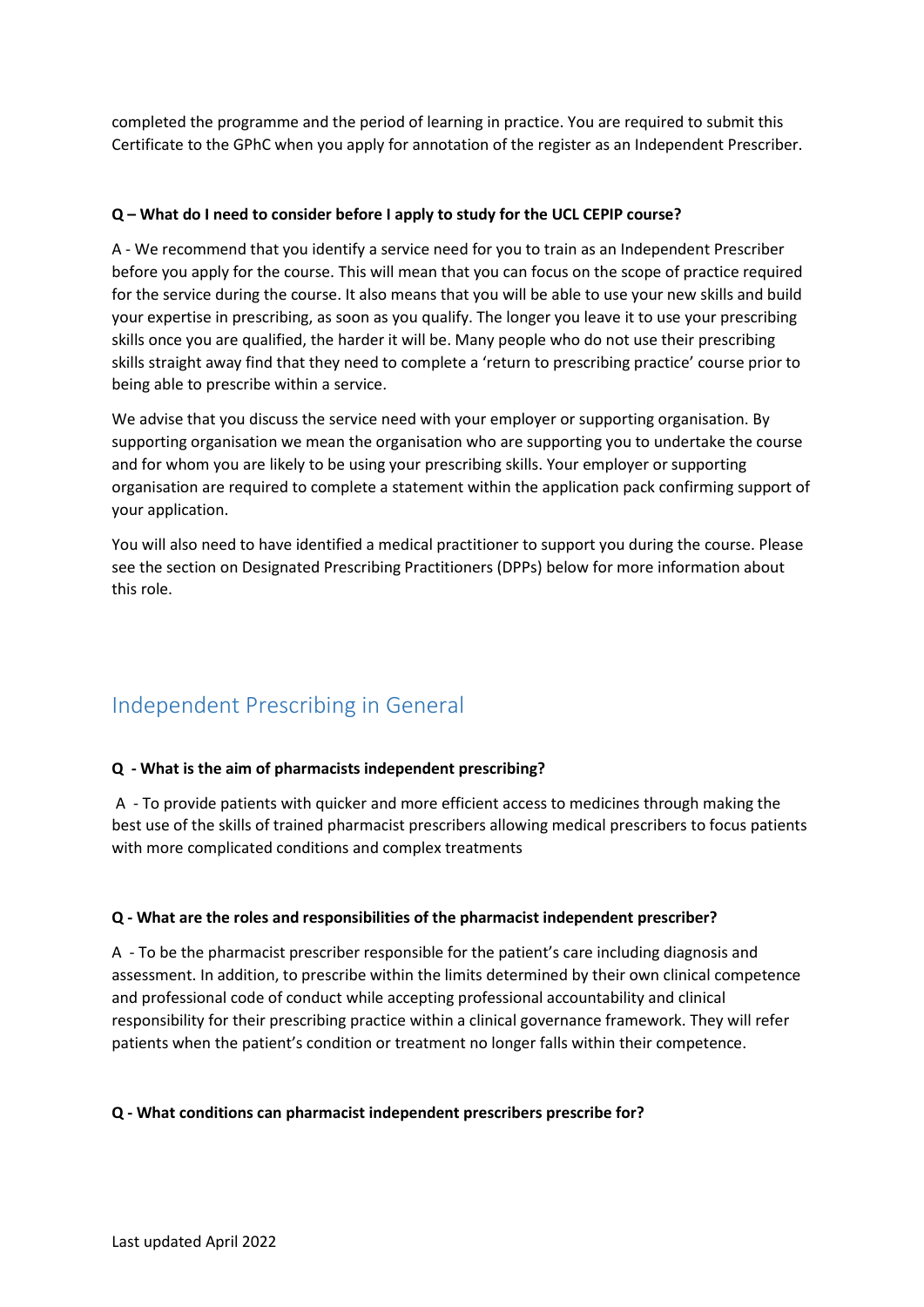completed the programme and the period of learning in practice. You are required to submit this Certificate to the GPhC when you apply for annotation of the register as an Independent Prescriber.

#### **Q – What do I need to consider before I apply to study for the UCL CEPIP course?**

A - We recommend that you identify a service need for you to train as an Independent Prescriber before you apply for the course. This will mean that you can focus on the scope of practice required for the service during the course. It also means that you will be able to use your new skills and build your expertise in prescribing, as soon as you qualify. The longer you leave it to use your prescribing skills once you are qualified, the harder it will be. Many people who do not use their prescribing skills straight away find that they need to complete a 'return to prescribing practice' course prior to being able to prescribe within a service.

We advise that you discuss the service need with your employer or supporting organisation. By supporting organisation we mean the organisation who are supporting you to undertake the course and for whom you are likely to be using your prescribing skills. Your employer or supporting organisation are required to complete a statement within the application pack confirming support of your application.

You will also need to have identified a medical practitioner to support you during the course. Please see the section on Designated Prescribing Practitioners (DPPs) below for more information about this role.

# Independent Prescribing in General

#### **Q - What is the aim of pharmacists independent prescribing?**

A - To provide patients with quicker and more efficient access to medicines through making the best use of the skills of trained pharmacist prescribers allowing medical prescribers to focus patients with more complicated conditions and complex treatments

#### **Q - What are the roles and responsibilities of the pharmacist independent prescriber?**

A - To be the pharmacist prescriber responsible for the patient's care including diagnosis and assessment. In addition, to prescribe within the limits determined by their own clinical competence and professional code of conduct while accepting professional accountability and clinical responsibility for their prescribing practice within a clinical governance framework. They will refer patients when the patient's condition or treatment no longer falls within their competence.

#### **Q - What conditions can pharmacist independent prescribers prescribe for?**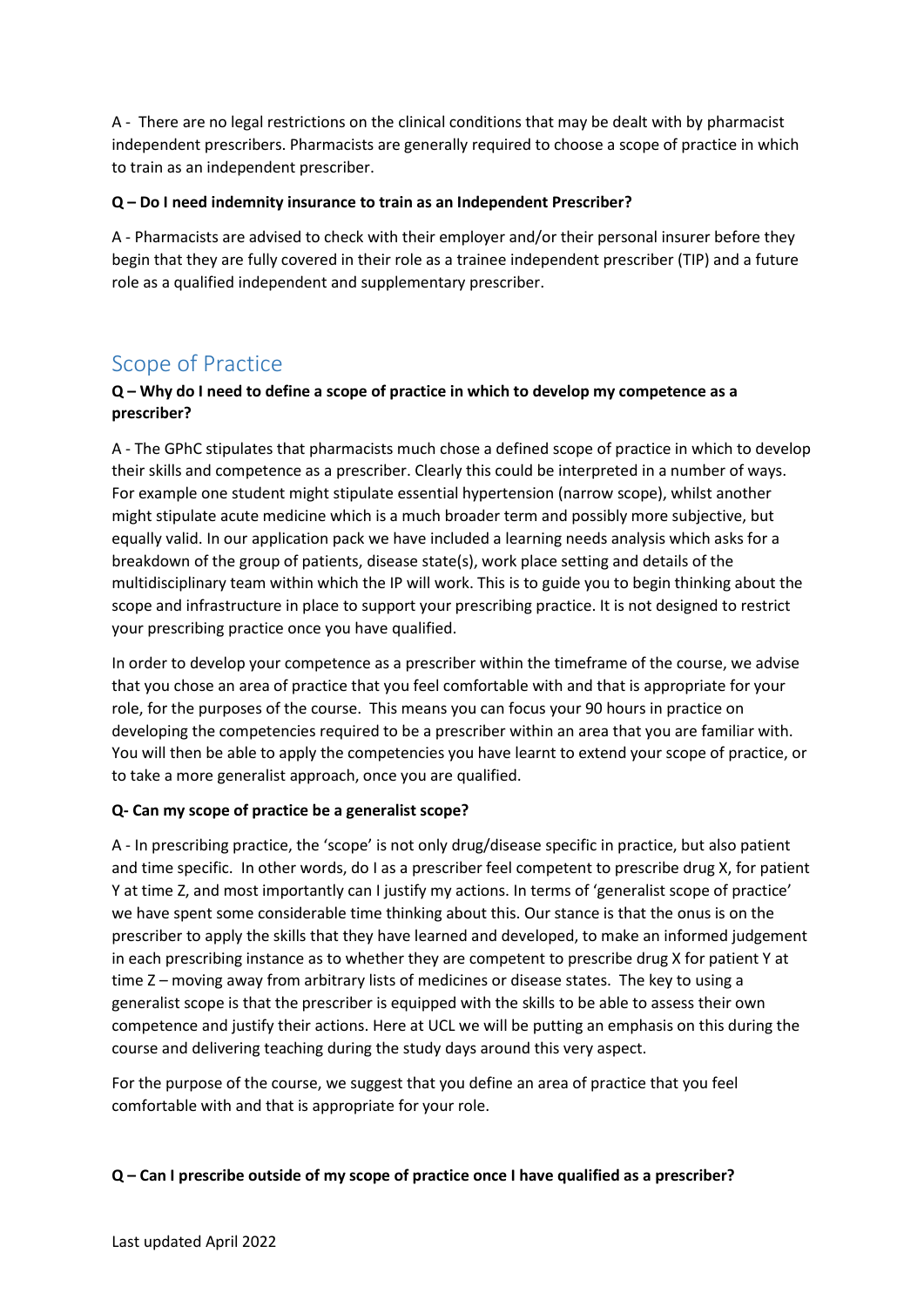A - There are no legal restrictions on the clinical conditions that may be dealt with by pharmacist independent prescribers. Pharmacists are generally required to choose a scope of practice in which to train as an independent prescriber.

#### **Q – Do I need indemnity insurance to train as an Independent Prescriber?**

A - Pharmacists are advised to check with their employer and/or their personal insurer before they begin that they are fully covered in their role as a trainee independent prescriber (TIP) and a future role as a qualified independent and supplementary prescriber.

### Scope of Practice

#### **Q – Why do I need to define a scope of practice in which to develop my competence as a prescriber?**

A - The GPhC stipulates that pharmacists much chose a defined scope of practice in which to develop their skills and competence as a prescriber. Clearly this could be interpreted in a number of ways. For example one student might stipulate essential hypertension (narrow scope), whilst another might stipulate acute medicine which is a much broader term and possibly more subjective, but equally valid. In our application pack we have included a learning needs analysis which asks for a breakdown of the group of patients, disease state(s), work place setting and details of the multidisciplinary team within which the IP will work. This is to guide you to begin thinking about the scope and infrastructure in place to support your prescribing practice. It is not designed to restrict your prescribing practice once you have qualified.

In order to develop your competence as a prescriber within the timeframe of the course, we advise that you chose an area of practice that you feel comfortable with and that is appropriate for your role, for the purposes of the course. This means you can focus your 90 hours in practice on developing the competencies required to be a prescriber within an area that you are familiar with. You will then be able to apply the competencies you have learnt to extend your scope of practice, or to take a more generalist approach, once you are qualified.

#### **Q- Can my scope of practice be a generalist scope?**

A - In prescribing practice, the 'scope' is not only drug/disease specific in practice, but also patient and time specific. In other words, do I as a prescriber feel competent to prescribe drug X, for patient Y at time Z, and most importantly can I justify my actions. In terms of 'generalist scope of practice' we have spent some considerable time thinking about this. Our stance is that the onus is on the prescriber to apply the skills that they have learned and developed, to make an informed judgement in each prescribing instance as to whether they are competent to prescribe drug X for patient Y at time Z – moving away from arbitrary lists of medicines or disease states. The key to using a generalist scope is that the prescriber is equipped with the skills to be able to assess their own competence and justify their actions. Here at UCL we will be putting an emphasis on this during the course and delivering teaching during the study days around this very aspect.

For the purpose of the course, we suggest that you define an area of practice that you feel comfortable with and that is appropriate for your role.

#### **Q – Can I prescribe outside of my scope of practice once I have qualified as a prescriber?**